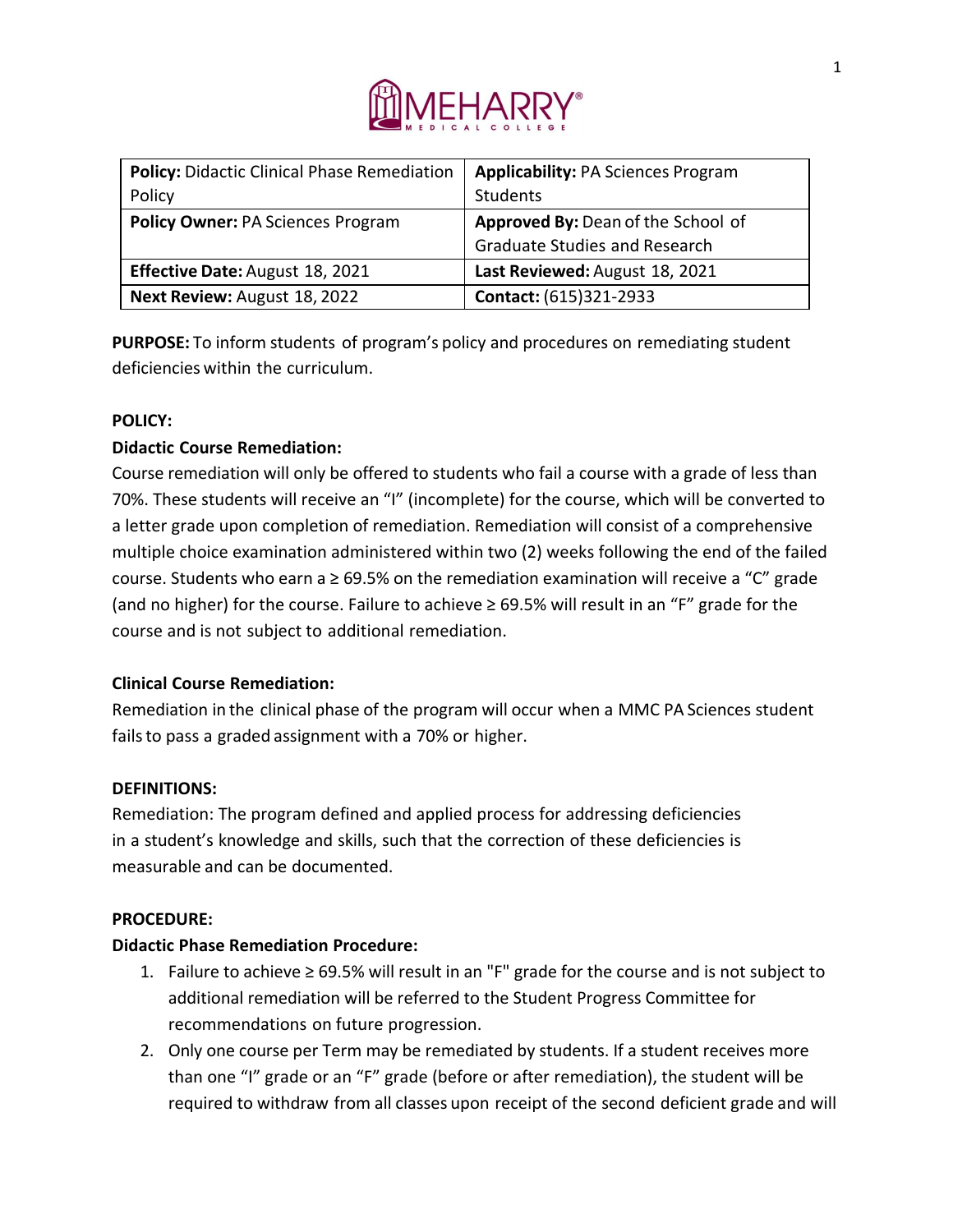

| <b>Policy: Didactic Clinical Phase Remediation</b> | <b>Applicability: PA Sciences Program</b> |
|----------------------------------------------------|-------------------------------------------|
| Policy                                             | Students                                  |
| <b>Policy Owner: PA Sciences Program</b>           | Approved By: Dean of the School of        |
|                                                    | <b>Graduate Studies and Research</b>      |
| <b>Effective Date: August 18, 2021</b>             | Last Reviewed: August 18, 2021            |
| Next Review: August 18, 2022                       | Contact: (615)321-2933                    |

**PURPOSE:** To inform students of program's policy and procedures on remediating student deficiencies within the curriculum.

### **POLICY:**

### **Didactic Course Remediation:**

Course remediation will only be offered to students who fail a course with a grade of less than 70%. These students will receive an "I" (incomplete) for the course, which will be converted to a letter grade upon completion of remediation. Remediation will consist of a comprehensive multiple choice examination administered within two (2) weeks following the end of the failed course. Students who earn a  $\geq$  69.5% on the remediation examination will receive a "C" grade (and no higher) for the course. Failure to achieve  $\geq 69.5\%$  will result in an "F" grade for the course and is not subject to additional remediation.

### **Clinical Course Remediation:**

Remediation in the clinical phase of the program will occur when a MMC PA Sciences student fails to pass a graded assignment with a 70% or higher.

#### **DEFINITIONS:**

Remediation: The program defined and applied process for addressing deficiencies in a student's knowledge and skills, such that the correction of these deficiencies is measurable and can be documented.

#### **PROCEDURE:**

#### **Didactic Phase Remediation Procedure:**

- 1. Failure to achieve  $\geq 69.5\%$  will result in an "F" grade for the course and is not subject to additional remediation will be referred to the Student Progress Committee for recommendations on future progression.
- 2. Only one course per Term may be remediated by students. If a student receives more than one "I" grade or an "F" grade (before or after remediation), the student will be required to withdraw from all classes upon receipt of the second deficient grade and will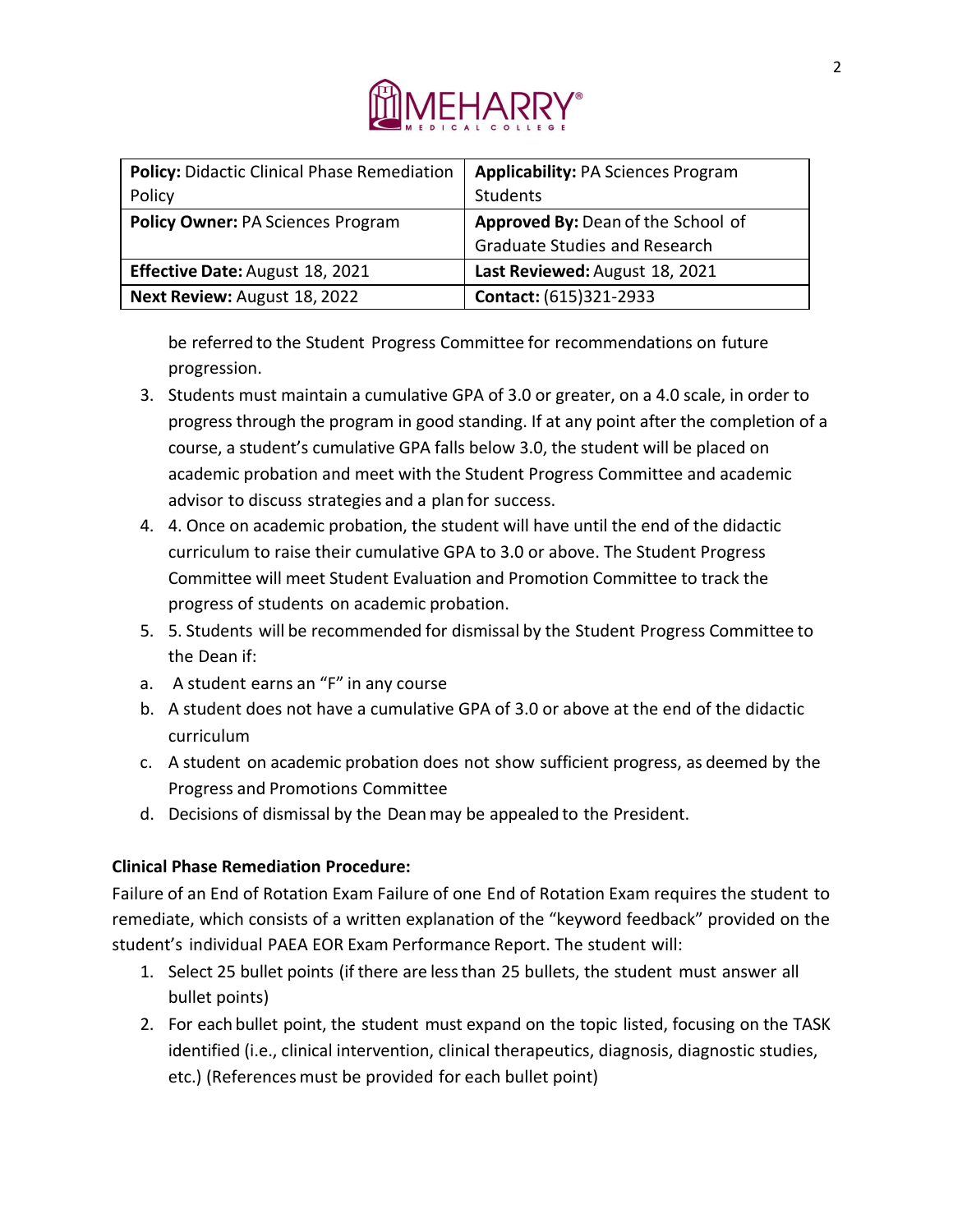

| <b>Policy: Didactic Clinical Phase Remediation</b> | <b>Applicability: PA Sciences Program</b> |
|----------------------------------------------------|-------------------------------------------|
| Policy                                             | Students                                  |
| Policy Owner: PA Sciences Program                  | Approved By: Dean of the School of        |
|                                                    | <b>Graduate Studies and Research</b>      |
| Effective Date: August 18, 2021                    | Last Reviewed: August 18, 2021            |
| Next Review: August 18, 2022                       | Contact: (615)321-2933                    |

be referred to the Student Progress Committee for recommendations on future progression.

- 3. Students must maintain a cumulative GPA of 3.0 or greater, on a 4.0 scale, in order to progress through the program in good standing. If at any point after the completion of a course, a student's cumulative GPA falls below 3.0, the student will be placed on academic probation and meet with the Student Progress Committee and academic advisor to discuss strategies and a plan for success.
- 4. 4. Once on academic probation, the student will have until the end of the didactic curriculum to raise their cumulative GPA to 3.0 or above. The Student Progress Committee will meet Student Evaluation and Promotion Committee to track the progress of students on academic probation.
- 5. 5. Students will be recommended for dismissal by the Student Progress Committee to the Dean if:
- a. A student earns an "F" in any course
- b. A student does not have a cumulative GPA of 3.0 or above at the end of the didactic curriculum
- c. A student on academic probation does not show sufficient progress, as deemed by the Progress and Promotions Committee
- d. Decisions of dismissal by the Deanmay be appealed to the President.

## **Clinical Phase Remediation Procedure:**

Failure of an End of Rotation Exam Failure of one End of Rotation Exam requires the student to remediate, which consists of a written explanation of the "keyword feedback" provided on the student's individual PAEA EOR Exam Performance Report. The student will:

- 1. Select 25 bullet points (if there are lessthan 25 bullets, the student must answer all bullet points)
- 2. For each bullet point, the student must expand on the topic listed, focusing on the TASK identified (i.e., clinical intervention, clinical therapeutics, diagnosis, diagnostic studies, etc.) (References must be provided for each bullet point)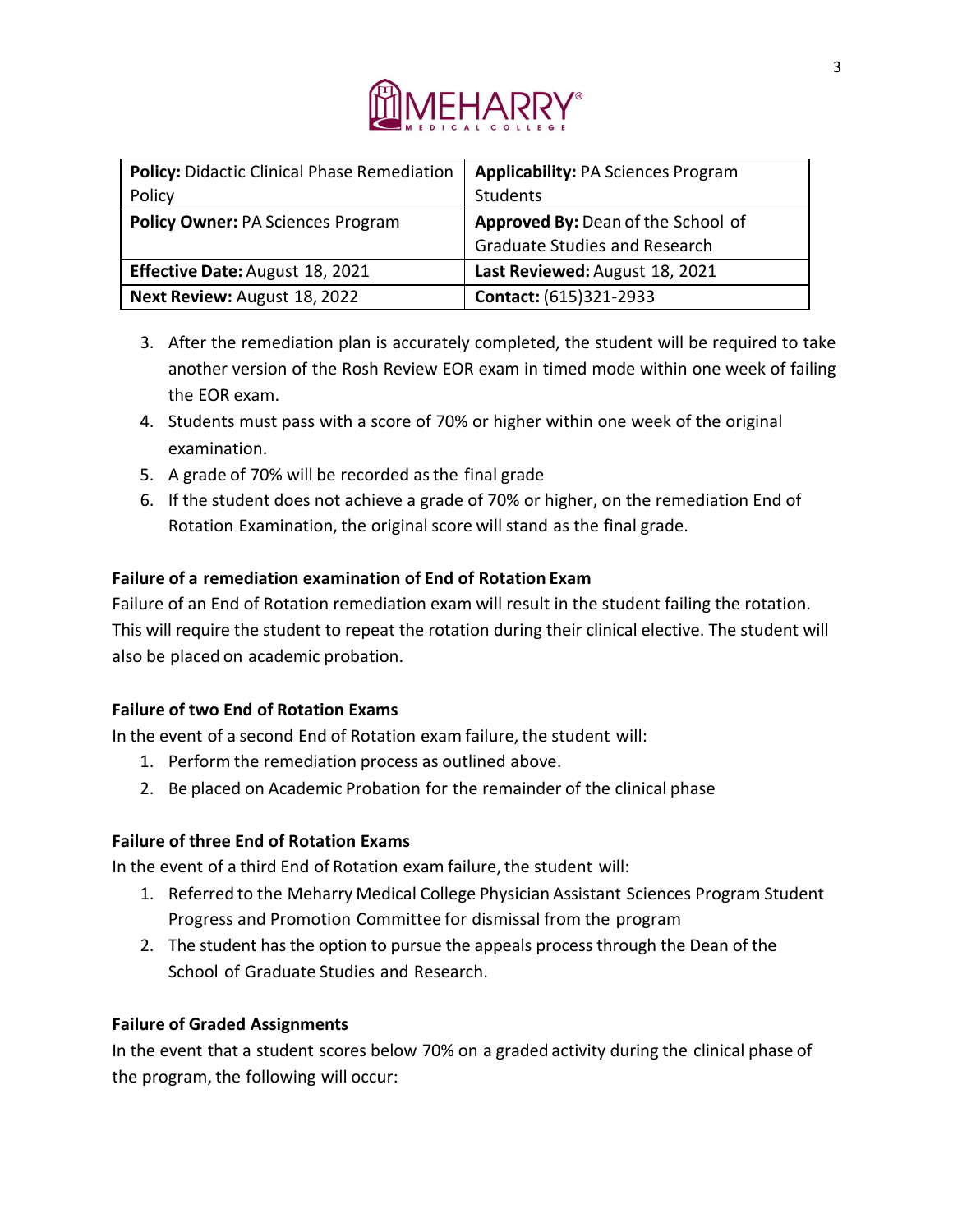

| Policy: Didactic Clinical Phase Remediation | <b>Applicability: PA Sciences Program</b> |
|---------------------------------------------|-------------------------------------------|
| Policy                                      | Students                                  |
| <b>Policy Owner: PA Sciences Program</b>    | Approved By: Dean of the School of        |
|                                             | <b>Graduate Studies and Research</b>      |
| <b>Effective Date: August 18, 2021</b>      | Last Reviewed: August 18, 2021            |
| Next Review: August 18, 2022                | Contact: (615)321-2933                    |

- 3. After the remediation plan is accurately completed, the student will be required to take another version of the Rosh Review EOR exam in timed mode within one week of failing the EOR exam.
- 4. Students must pass with a score of 70% or higher within one week of the original examination.
- 5. A grade of 70% will be recorded as the final grade
- 6. If the student does not achieve a grade of 70% or higher, on the remediation End of Rotation Examination, the original score will stand as the final grade.

# **Failure of a remediation examination of End of Rotation Exam**

Failure of an End of Rotation remediation exam will result in the student failing the rotation. This will require the student to repeat the rotation during their clinical elective. The student will also be placed on academic probation.

## **Failure of two End of Rotation Exams**

In the event of a second End of Rotation exam failure, the student will:

- 1. Perform the remediation process as outlined above.
- 2. Be placed on Academic Probation for the remainder of the clinical phase

## **Failure of three End of Rotation Exams**

In the event of a third End of Rotation exam failure, the student will:

- 1. Referred to the Meharry Medical College Physician Assistant Sciences Program Student Progress and Promotion Committee for dismissal from the program
- 2. The student has the option to pursue the appeals process through the Dean of the School of Graduate Studies and Research.

## **Failure of Graded Assignments**

In the event that a student scores below 70% on a graded activity during the clinical phase of the program, the following will occur: